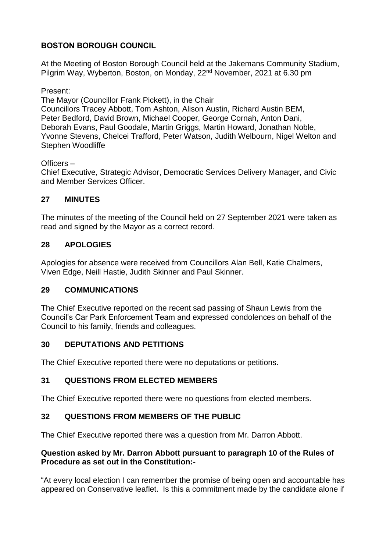## **BOSTON BOROUGH COUNCIL**

At the Meeting of Boston Borough Council held at the Jakemans Community Stadium, Pilgrim Way, Wyberton, Boston, on Monday, 22<sup>nd</sup> November, 2021 at 6.30 pm

#### Present:

The Mayor (Councillor Frank Pickett), in the Chair Councillors Tracey Abbott, Tom Ashton, Alison Austin, Richard Austin BEM, Peter Bedford, David Brown, Michael Cooper, George Cornah, Anton Dani, Deborah Evans, Paul Goodale, Martin Griggs, Martin Howard, Jonathan Noble, Yvonne Stevens, Chelcei Trafford, Peter Watson, Judith Welbourn, Nigel Welton and Stephen Woodliffe

### Officers –

Chief Executive, Strategic Advisor, Democratic Services Delivery Manager, and Civic and Member Services Officer.

## **27 MINUTES**

The minutes of the meeting of the Council held on 27 September 2021 were taken as read and signed by the Mayor as a correct record.

## **28 APOLOGIES**

Apologies for absence were received from Councillors Alan Bell, Katie Chalmers, Viven Edge, Neill Hastie, Judith Skinner and Paul Skinner.

## **29 COMMUNICATIONS**

The Chief Executive reported on the recent sad passing of Shaun Lewis from the Council's Car Park Enforcement Team and expressed condolences on behalf of the Council to his family, friends and colleagues.

## **30 DEPUTATIONS AND PETITIONS**

The Chief Executive reported there were no deputations or petitions.

## **31 QUESTIONS FROM ELECTED MEMBERS**

The Chief Executive reported there were no questions from elected members.

## **32 QUESTIONS FROM MEMBERS OF THE PUBLIC**

The Chief Executive reported there was a question from Mr. Darron Abbott.

#### **Question asked by Mr. Darron Abbott pursuant to paragraph 10 of the Rules of Procedure as set out in the Constitution:-**

"At every local election I can remember the promise of being open and accountable has appeared on Conservative leaflet. Is this a commitment made by the candidate alone if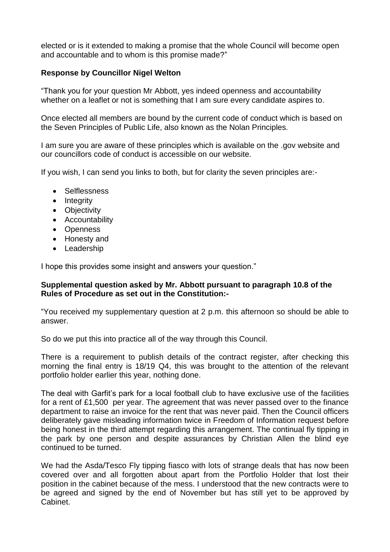elected or is it extended to making a promise that the whole Council will become open and accountable and to whom is this promise made?"

#### **Response by Councillor Nigel Welton**

"Thank you for your question Mr Abbott, yes indeed openness and accountability whether on a leaflet or not is something that I am sure every candidate aspires to.

Once elected all members are bound by the current code of conduct which is based on the Seven Principles of Public Life, also known as the Nolan Principles.

I am sure you are aware of these principles which is available on the .gov website and our councillors code of conduct is accessible on our website.

If you wish, I can send you links to both, but for clarity the seven principles are:-

- Selflessness
- Integrity
- Objectivity
- Accountability
- Openness
- Honesty and
- Leadership

I hope this provides some insight and answers your question."

#### **Supplemental question asked by Mr. Abbott pursuant to paragraph 10.8 of the Rules of Procedure as set out in the Constitution:-**

"You received my supplementary question at 2 p.m. this afternoon so should be able to answer.

So do we put this into practice all of the way through this Council.

There is a requirement to publish details of the contract register, after checking this morning the final entry is 18/19 Q4, this was brought to the attention of the relevant portfolio holder earlier this year, nothing done.

The deal with Garfit's park for a local football club to have exclusive use of the facilities for a rent of £1,500 per year. The agreement that was never passed over to the finance department to raise an invoice for the rent that was never paid. Then the Council officers deliberately gave misleading information twice in Freedom of Information request before being honest in the third attempt regarding this arrangement. The continual fly tipping in the park by one person and despite assurances by Christian Allen the blind eye continued to be turned.

We had the Asda/Tesco Fly tipping fiasco with lots of strange deals that has now been covered over and all forgotten about apart from the Portfolio Holder that lost their position in the cabinet because of the mess. I understood that the new contracts were to be agreed and signed by the end of November but has still yet to be approved by Cabinet.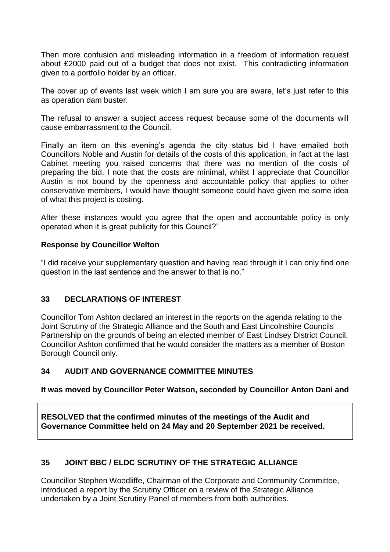Then more confusion and misleading information in a freedom of information request about £2000 paid out of a budget that does not exist. This contradicting information given to a portfolio holder by an officer.

The cover up of events last week which I am sure you are aware, let's just refer to this as operation dam buster.

The refusal to answer a subject access request because some of the documents will cause embarrassment to the Council.

Finally an item on this evening's agenda the city status bid I have emailed both Councillors Noble and Austin for details of the costs of this application, in fact at the last Cabinet meeting you raised concerns that there was no mention of the costs of preparing the bid. I note that the costs are minimal, whilst I appreciate that Councillor Austin is not bound by the openness and accountable policy that applies to other conservative members, I would have thought someone could have given me some idea of what this project is costing.

After these instances would you agree that the open and accountable policy is only operated when it is great publicity for this Council?"

#### **Response by Councillor Welton**

"I did receive your supplementary question and having read through it I can only find one question in the last sentence and the answer to that is no."

#### **33 DECLARATIONS OF INTEREST**

Councillor Tom Ashton declared an interest in the reports on the agenda relating to the Joint Scrutiny of the Strategic Alliance and the South and East Lincolnshire Councils Partnership on the grounds of being an elected member of East Lindsey District Council. Councillor Ashton confirmed that he would consider the matters as a member of Boston Borough Council only.

#### **34 AUDIT AND GOVERNANCE COMMITTEE MINUTES**

#### **It was moved by Councillor Peter Watson, seconded by Councillor Anton Dani and**

**RESOLVED that the confirmed minutes of the meetings of the Audit and Governance Committee held on 24 May and 20 September 2021 be received.**

## **35 JOINT BBC / ELDC SCRUTINY OF THE STRATEGIC ALLIANCE**

Councillor Stephen Woodliffe, Chairman of the Corporate and Community Committee, introduced a report by the Scrutiny Officer on a review of the Strategic Alliance undertaken by a Joint Scrutiny Panel of members from both authorities.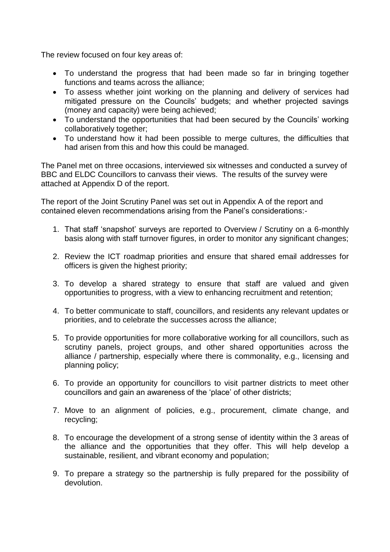The review focused on four key areas of:

- To understand the progress that had been made so far in bringing together functions and teams across the alliance;
- To assess whether joint working on the planning and delivery of services had mitigated pressure on the Councils' budgets; and whether projected savings (money and capacity) were being achieved;
- To understand the opportunities that had been secured by the Councils' working collaboratively together;
- To understand how it had been possible to merge cultures, the difficulties that had arisen from this and how this could be managed.

The Panel met on three occasions, interviewed six witnesses and conducted a survey of BBC and ELDC Councillors to canvass their views. The results of the survey were attached at Appendix D of the report.

The report of the Joint Scrutiny Panel was set out in Appendix A of the report and contained eleven recommendations arising from the Panel's considerations:-

- 1. That staff 'snapshot' surveys are reported to Overview / Scrutiny on a 6-monthly basis along with staff turnover figures, in order to monitor any significant changes;
- 2. Review the ICT roadmap priorities and ensure that shared email addresses for officers is given the highest priority;
- 3. To develop a shared strategy to ensure that staff are valued and given opportunities to progress, with a view to enhancing recruitment and retention;
- 4. To better communicate to staff, councillors, and residents any relevant updates or priorities, and to celebrate the successes across the alliance;
- 5. To provide opportunities for more collaborative working for all councillors, such as scrutiny panels, project groups, and other shared opportunities across the alliance / partnership, especially where there is commonality, e.g., licensing and planning policy;
- 6. To provide an opportunity for councillors to visit partner districts to meet other councillors and gain an awareness of the 'place' of other districts;
- 7. Move to an alignment of policies, e.g., procurement, climate change, and recycling;
- 8. To encourage the development of a strong sense of identity within the 3 areas of the alliance and the opportunities that they offer. This will help develop a sustainable, resilient, and vibrant economy and population;
- 9. To prepare a strategy so the partnership is fully prepared for the possibility of devolution.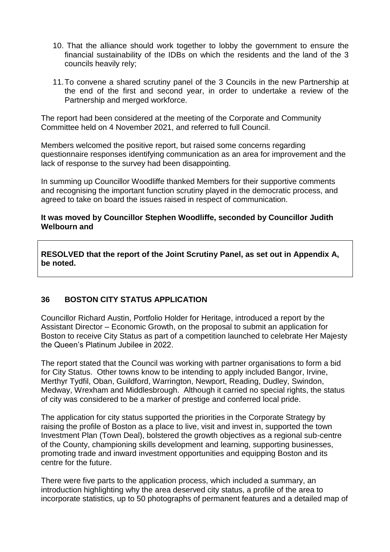- 10. That the alliance should work together to lobby the government to ensure the financial sustainability of the IDBs on which the residents and the land of the 3 councils heavily rely;
- 11.To convene a shared scrutiny panel of the 3 Councils in the new Partnership at the end of the first and second year, in order to undertake a review of the Partnership and merged workforce.

The report had been considered at the meeting of the Corporate and Community Committee held on 4 November 2021, and referred to full Council.

Members welcomed the positive report, but raised some concerns regarding questionnaire responses identifying communication as an area for improvement and the lack of response to the survey had been disappointing.

In summing up Councillor Woodliffe thanked Members for their supportive comments and recognising the important function scrutiny played in the democratic process, and agreed to take on board the issues raised in respect of communication.

#### **It was moved by Councillor Stephen Woodliffe, seconded by Councillor Judith Welbourn and**

**RESOLVED that the report of the Joint Scrutiny Panel, as set out in Appendix A, be noted.** 

## **36 BOSTON CITY STATUS APPLICATION**

Councillor Richard Austin, Portfolio Holder for Heritage, introduced a report by the Assistant Director – Economic Growth, on the proposal to submit an application for Boston to receive City Status as part of a competition launched to celebrate Her Majesty the Queen's Platinum Jubilee in 2022.

The report stated that the Council was working with partner organisations to form a bid for City Status. Other towns know to be intending to apply included Bangor, Irvine, Merthyr Tydfil, Oban, Guildford, Warrington, Newport, Reading, Dudley, Swindon, Medway, Wrexham and Middlesbrough. Although it carried no special rights, the status of city was considered to be a marker of prestige and conferred local pride.

The application for city status supported the priorities in the Corporate Strategy by raising the profile of Boston as a place to live, visit and invest in, supported the town Investment Plan (Town Deal), bolstered the growth objectives as a regional sub-centre of the County, championing skills development and learning, supporting businesses, promoting trade and inward investment opportunities and equipping Boston and its centre for the future.

There were five parts to the application process, which included a summary, an introduction highlighting why the area deserved city status, a profile of the area to incorporate statistics, up to 50 photographs of permanent features and a detailed map of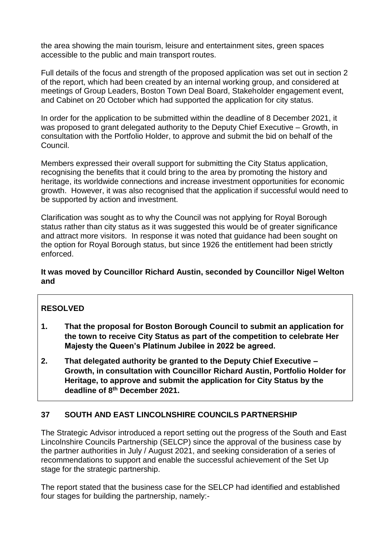the area showing the main tourism, leisure and entertainment sites, green spaces accessible to the public and main transport routes.

Full details of the focus and strength of the proposed application was set out in section 2 of the report, which had been created by an internal working group, and considered at meetings of Group Leaders, Boston Town Deal Board, Stakeholder engagement event, and Cabinet on 20 October which had supported the application for city status.

In order for the application to be submitted within the deadline of 8 December 2021, it was proposed to grant delegated authority to the Deputy Chief Executive – Growth, in consultation with the Portfolio Holder, to approve and submit the bid on behalf of the Council.

Members expressed their overall support for submitting the City Status application, recognising the benefits that it could bring to the area by promoting the history and heritage, its worldwide connections and increase investment opportunities for economic growth. However, it was also recognised that the application if successful would need to be supported by action and investment.

Clarification was sought as to why the Council was not applying for Royal Borough status rather than city status as it was suggested this would be of greater significance and attract more visitors. In response it was noted that guidance had been sought on the option for Royal Borough status, but since 1926 the entitlement had been strictly enforced.

### **It was moved by Councillor Richard Austin, seconded by Councillor Nigel Welton and**

## **RESOLVED**

- **1. That the proposal for Boston Borough Council to submit an application for the town to receive City Status as part of the competition to celebrate Her Majesty the Queen's Platinum Jubilee in 2022 be agreed.**
- **2. That delegated authority be granted to the Deputy Chief Executive – Growth, in consultation with Councillor Richard Austin, Portfolio Holder for Heritage, to approve and submit the application for City Status by the deadline of 8th December 2021.**

## **37 SOUTH AND EAST LINCOLNSHIRE COUNCILS PARTNERSHIP**

The Strategic Advisor introduced a report setting out the progress of the South and East Lincolnshire Councils Partnership (SELCP) since the approval of the business case by the partner authorities in July / August 2021, and seeking consideration of a series of recommendations to support and enable the successful achievement of the Set Up stage for the strategic partnership.

The report stated that the business case for the SELCP had identified and established four stages for building the partnership, namely:-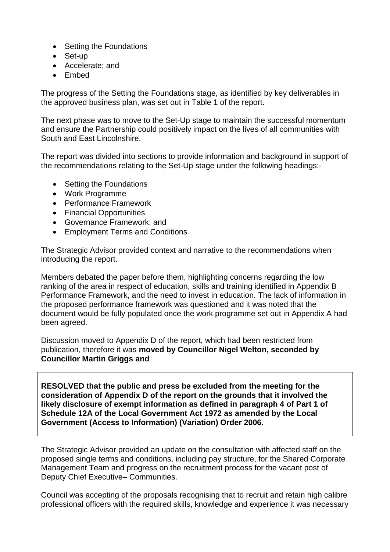- Setting the Foundations
- Set-up
- Accelerate; and
- Embed

The progress of the Setting the Foundations stage, as identified by key deliverables in the approved business plan, was set out in Table 1 of the report.

The next phase was to move to the Set-Up stage to maintain the successful momentum and ensure the Partnership could positively impact on the lives of all communities with South and East Lincolnshire.

The report was divided into sections to provide information and background in support of the recommendations relating to the Set-Up stage under the following headings:-

- Setting the Foundations
- Work Programme
- Performance Framework
- Financial Opportunities
- Governance Framework; and
- Employment Terms and Conditions

The Strategic Advisor provided context and narrative to the recommendations when introducing the report.

Members debated the paper before them, highlighting concerns regarding the low ranking of the area in respect of education, skills and training identified in Appendix B Performance Framework, and the need to invest in education. The lack of information in the proposed performance framework was questioned and it was noted that the document would be fully populated once the work programme set out in Appendix A had been agreed.

Discussion moved to Appendix D of the report, which had been restricted from publication, therefore it was **moved by Councillor Nigel Welton, seconded by Councillor Martin Griggs and** 

**RESOLVED that the public and press be excluded from the meeting for the consideration of Appendix D of the report on the grounds that it involved the likely disclosure of exempt information as defined in paragraph 4 of Part 1 of Schedule 12A of the Local Government Act 1972 as amended by the Local Government (Access to Information) (Variation) Order 2006.** 

The Strategic Advisor provided an update on the consultation with affected staff on the proposed single terms and conditions, including pay structure, for the Shared Corporate Management Team and progress on the recruitment process for the vacant post of Deputy Chief Executive– Communities.

Council was accepting of the proposals recognising that to recruit and retain high calibre professional officers with the required skills, knowledge and experience it was necessary